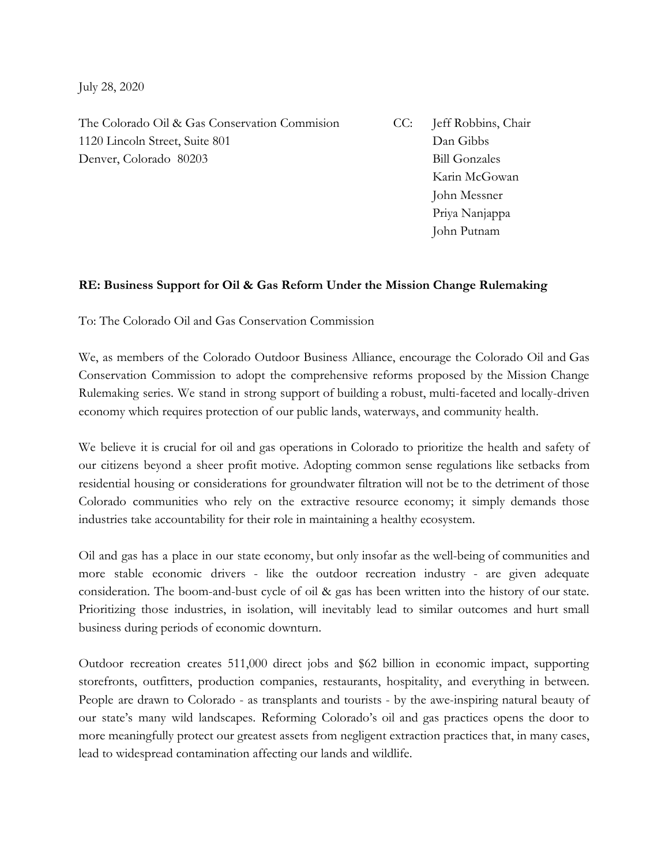July 28, 2020

The Colorado Oil & Gas Conservation Commision CC: Jeff Robbins, Chair 1120 Lincoln Street, Suite 801 Dan Gibbs Denver, Colorado 80203 Bill Gonzales

Karin McGowan John Messner Priya Nanjappa John Putnam

## **RE: Business Support for Oil & Gas Reform Under the Mission Change Rulemaking**

To: The Colorado Oil and Gas Conservation Commission

We, as members of the Colorado Outdoor Business Alliance, encourage the Colorado Oil and Gas Conservation Commission to adopt the comprehensive reforms proposed by the Mission Change Rulemaking series. We stand in strong support of building a robust, multi-faceted and locally-driven economy which requires protection of our public lands, waterways, and community health.

We believe it is crucial for oil and gas operations in Colorado to prioritize the health and safety of our citizens beyond a sheer profit motive. Adopting common sense regulations like setbacks from residential housing or considerations for groundwater filtration will not be to the detriment of those Colorado communities who rely on the extractive resource economy; it simply demands those industries take accountability for their role in maintaining a healthy ecosystem.

Oil and gas has a place in our state economy, but only insofar as the well-being of communities and more stable economic drivers - like the outdoor recreation industry - are given adequate consideration. The boom-and-bust cycle of oil & gas has been written into the history of our state. Prioritizing those industries, in isolation, will inevitably lead to similar outcomes and hurt small business during periods of economic downturn.

Outdoor recreation creates 511,000 direct jobs and \$62 billion in economic impact, supporting storefronts, outfitters, production companies, restaurants, hospitality, and everything in between. People are drawn to Colorado - as transplants and tourists - by the awe-inspiring natural beauty of our state's many wild landscapes. Reforming Colorado's oil and gas practices opens the door to more meaningfully protect our greatest assets from negligent extraction practices that, in many cases, lead to widespread contamination affecting our lands and wildlife.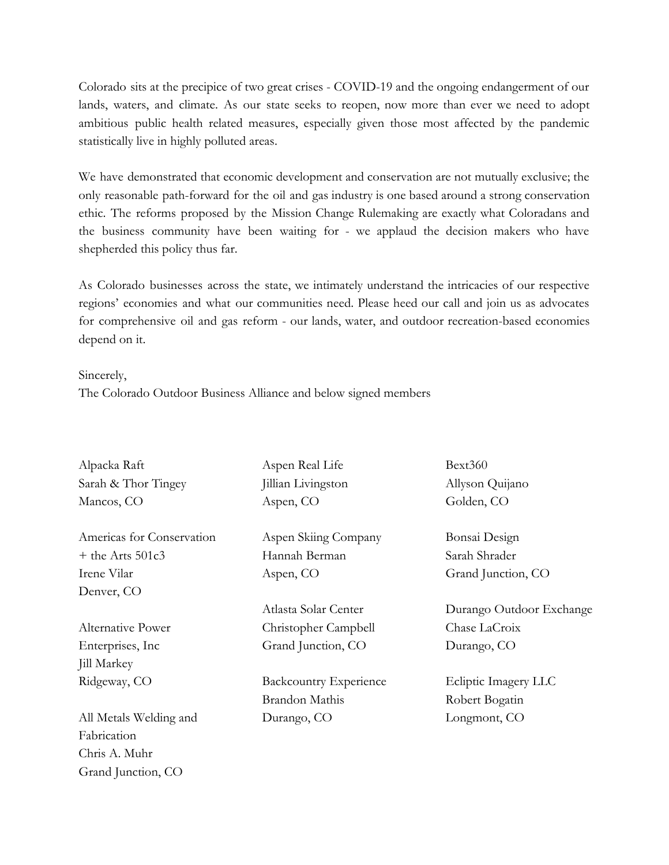Colorado sits at the precipice of two great crises - COVID-19 and the ongoing endangerment of our lands, waters, and climate. As our state seeks to reopen, now more than ever we need to adopt ambitious public health related measures, especially given those most affected by the pandemic statistically live in highly polluted areas.

We have demonstrated that economic development and conservation are not mutually exclusive; the only reasonable path-forward for the oil and gas industry is one based around a strong conservation ethic. The reforms proposed by the Mission Change Rulemaking are exactly what Coloradans and the business community have been waiting for - we applaud the decision makers who have shepherded this policy thus far.

As Colorado businesses across the state, we intimately understand the intricacies of our respective regions' economies and what our communities need. Please heed our call and join us as advocates for comprehensive oil and gas reform - our lands, water, and outdoor recreation-based economies depend on it.

## Sincerely,

The Colorado Outdoor Business Alliance and below signed members

| Alpacka Raft              | Aspen Real Life               | Bext360                  |
|---------------------------|-------------------------------|--------------------------|
| Sarah & Thor Tingey       | Jillian Livingston            | Allyson Quijano          |
| Mancos, CO                | Aspen, CO                     | Golden, CO               |
| Americas for Conservation | Aspen Skiing Company          | Bonsai Design            |
| $+$ the Arts 501 $c3$     | Hannah Berman                 | Sarah Shrader            |
| Irene Vilar               | Aspen, CO                     | Grand Junction, CO       |
| Denver, CO                |                               |                          |
|                           | Atlasta Solar Center          | Durango Outdoor Exchange |
| <b>Alternative Power</b>  | Christopher Campbell          | Chase LaCroix            |
| Enterprises, Inc          | Grand Junction, CO            | Durango, CO              |
| Jill Markey               |                               |                          |
| Ridgeway, CO              | <b>Backcountry Experience</b> | Ecliptic Imagery LLC     |
|                           | <b>Brandon Mathis</b>         | Robert Bogatin           |
| All Metals Welding and    | Durango, CO                   | Longmont, CO             |
| Fabrication               |                               |                          |
| Chris A. Muhr             |                               |                          |
| Grand Junction, CO        |                               |                          |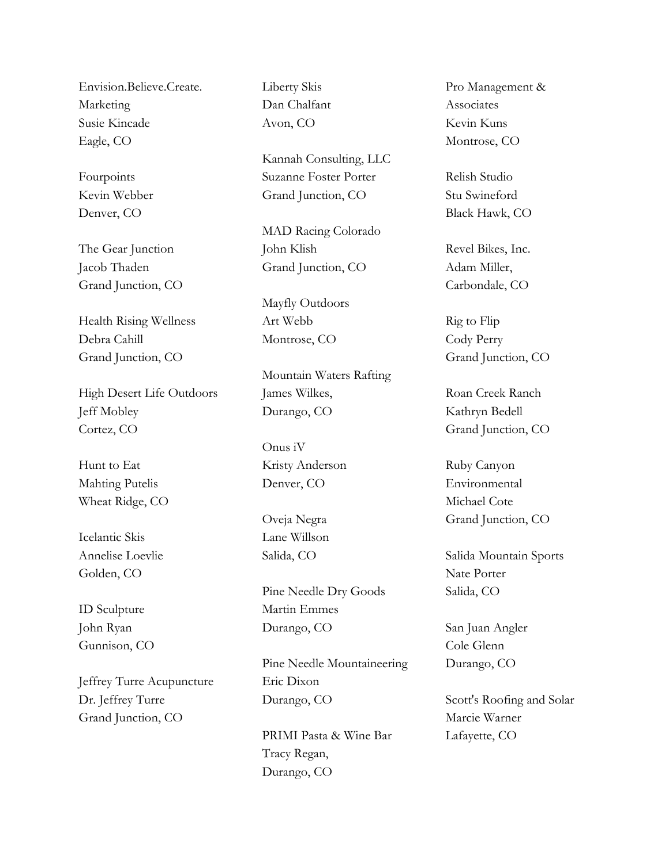Envision.Believe.Create. Marketing Susie Kincade Eagle, CO

Fourpoints Kevin Webber Denver, CO

The Gear Junction Jacob Thaden Grand Junction, CO

Health Rising Wellness Debra Cahill Grand Junction, CO

High Desert Life Outdoors Jeff Mobley Cortez, CO

Hunt to Eat Mahting Putelis Wheat Ridge, CO

Icelantic Skis Annelise Loevlie Golden, CO

ID Sculpture John Ryan Gunnison, CO

Jeffrey Turre Acupuncture Dr. Jeffrey Turre Grand Junction, CO

Liberty Skis Dan Chalfant Avon, CO

Kannah Consulting, LLC Suzanne Foster Porter Grand Junction, CO

MAD Racing Colorado John Klish Grand Junction, CO

Mayfly Outdoors Art Webb Montrose, CO

Mountain Waters Rafting James Wilkes, Durango, CO

Onus iV Kristy Anderson Denver, CO

Oveja Negra Lane Willson Salida, CO

Pine Needle Dry Goods Martin Emmes Durango, CO

Pine Needle Mountaineering Eric Dixon Durango, CO

PRIMI Pasta & Wine Bar Tracy Regan, Durango, CO

Pro Management & Associates Kevin Kuns Montrose, CO

Relish Studio Stu Swineford Black Hawk, CO

Revel Bikes, Inc. Adam Miller, Carbondale, CO

Rig to Flip Cody Perry Grand Junction, CO

Roan Creek Ranch Kathryn Bedell Grand Junction, CO

Ruby Canyon Environmental Michael Cote Grand Junction, CO

Salida Mountain Sports Nate Porter Salida, CO

San Juan Angler Cole Glenn Durango, CO

Scott's Roofing and Solar Marcie Warner Lafayette, CO